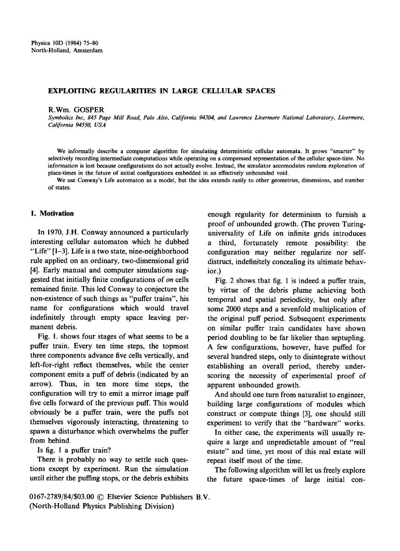# EXPLOITING REGULARITIES IN LARGE CELLULAR SPACES

#### R.Wm. GOSPER

*Symbolics Inc, 845 Page Mill Road, Polo Alto, California 94304, and Lawrence Livermore National Laboratory, Livermore, California 94550, USA* 

We informally describe a computer algorithm for simulating deterministic cellular automata. It grows "smarter" by selectively recording intermediate computations while operating on a compressed representation of the cellular space-time. No information is lost because configurations do not actually evolve. Instead, the simulator accomodates random exploration of place-times in the future of initial configurations embedded in an effectively unbounded void.

We use Conway's Life automaton as a model, but the idea extends easily to other geometries, dimensions, and number **of** states.

## **1. Motivation**

In 1970, J.H. Conway announced a particularly interesting cellular automaton which he dubbed "Life" [1-3]. Life is a two state, nine-neighborhood rule applied on an ordinary, two-dimensional grid [4]. Early manual and computer simulations suggested that initially finite configurations of *on* cells remained finite. This led Conway to conjecture the non-existence of such things as "puffer trains", his name for configurations which would travel indefinitely through empty space leaving permanent debris.

Fig. I. shows four stages of what seems to be a puffer train. Every ten time steps, the topmost three components advance five cells vertically, and left-for-right reflect themselves, while the center component emits a puff of debris (indicated by an arrow). Thus, in ten more time steps, the configuration will try to emit a mirror image puff five cells forward of the previous puff. This would obviously be a puffer train, were the puffs not themselves vigorously interacting, threatening to spawn a disturbance which overwhelms the puffer from behind.

Is fig. 1 a puffer train?

There is probably no way to settle such questions except by experiment. Run the simulation until either the puffing stops, or the debris exhibits enough regularity for determinism to furnish a proof of unbounded growth. (The proven Turinguniversality of Life on infinite grids introduces a third, fortunately remote possibility: the configuration may neither regularize nor selfdistruct, indefinitely concealing its ultimate behavior.)

Fig. 2 shows that fig. 1 is indeed a puffer train, by virtue of the debris plume achieving both temporal and spatial periodicity, but only after some 2000 steps and a sevenfold multiplication of the original puff period. Subsequent experiments on similar puffer train candidates have shown period doubling to be far likelier than septupling. A few configurations, however, have puffed for several hundred steps, only to disintegrate without establishing an overall period, thereby underscoring the necessity of experimental proof of apparent unbounded growth.

And should one turn from naturalist to engineer, building large configurations of modules which construct or compute things [3], one should still experiment to verify that the "hardware" works.

In either case, the experiments will usually require a large and unpredictable amount of "real estate" and time, yet most of this real estate will repeat itself most of the time.

The following algorithm will let us freely explore the future space-times of large initial con-

0167-2789/84/\$03.00 © Elsevier Science Publishers B.V. (North-Holland Physics Publishing Division)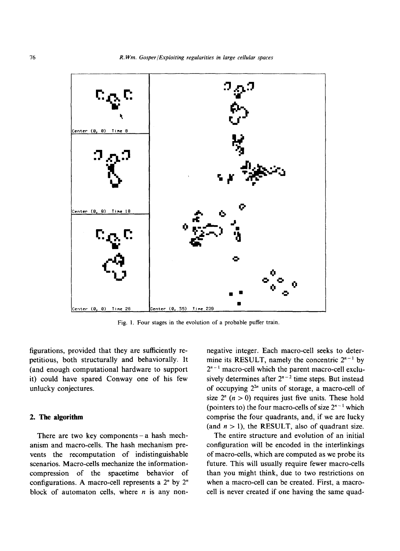

Fig. 1, Four stages in the evolution of a probable puffer train.

figurations, provided that they are sufficiently repetitious, both structurally and behaviorally. It (and enough computational hardware to support it) could have spared Conway one of his few unlucky conjectures.

### 2. The **algorithm**

There are two key components-a hash mechanism and macro-cells. The hash mechanism prevents the recomputation of indistinguishable scenarios. Macro-cells mechanize the informationcompression of the spacetime behavior of configurations. A macro-cell represents a 2" by 2" block of automaton cells, where  $n$  is any nonnegative integer. Each macro-cell seeks to determine its RESULT, namely the concentric  $2^{n-1}$  by  $2^{n-1}$  macro-cell which the parent macro-cell exclusively determines after  $2^{n-2}$  time steps. But instead of occupying  $2^{2n}$  units of storage, a macro-cell of size  $2^{n}$   $(n > 0)$  requires just five units. These hold (pointers to) the four macro-cells of size  $2^{n-1}$  which comprise the four quadrants, and, if we are lucky (and  $n > 1$ ), the RESULT, also of quadrant size.

The entire structure and evolution of an initial configuration will be encoded in the interlinkings of macro-cells, which are computed as we probe its future. This will usually require fewer macro-cells than you might think, due to two restrictions on when a macro-cell can be created. First, a macrocell is never created if one having the same quad-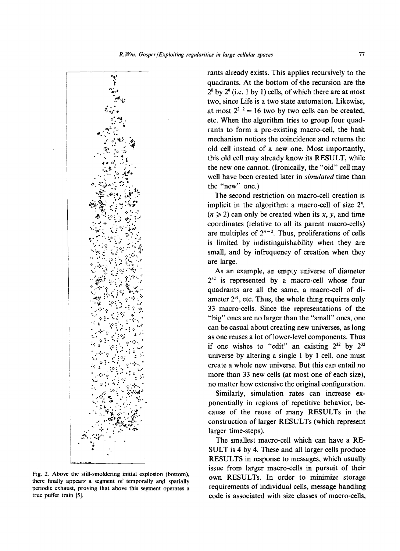

Fig. 2. Above the still-smoldering initial explosion (bottom). there finally appears a segment of temporally and spatially periodic exhaust, proving that above this segment operates a true puffer train [5].

rants already exists. This applies recursively to the quadrants. At the bottom of the recursion are the  $2<sup>0</sup>$  by  $2<sup>0</sup>$  (i.e. 1 by 1) cells, of which there are at most two, since Life is a two state automaton. Likewise, at most  $2^{2/2} = 16$  two by two cells can be created, etc. When the algorithm tries to group four quadrants to form a pre-existing macro-cell, the hash mechanism notices the coincidence and returns the old cell instead of a new one. Most importantly, this old cell may already know its RESULT, while the new one cannot. (Ironically, the "old" cell may well have been created later in simulated time than the "new" one.)

The second restriction on macro-cell creation is implicit in the algorithm: a macro-cell of size 2<sup>n</sup>,  $(n \ge 2)$  can only be created when its x, y, and time coordinates (relative to all its parent macro-cells) are multiples of  $2^{n-2}$ . Thus, proliferations of cells is limited by indistinguishability when they are small, and by infrequency of creation when they are large.

As an example, an empty universe of diameter  $2^{32}$  is represented by a macro-cell whose four quadrants are all the same, a macro-cell of diameter  $2^{31}$ , etc. Thus, the whole thing requires only 33 macro-cells. Since the representations of the "big" ones are no larger than the "small" ones, one can be casual about creating new universes, as long as one reuses a lot of lower-level components. Thus if one wishes to "edit" an existing  $2^{32}$  by  $2^{32}$ universe by altering a single 1 by 1 cell, one must create a whole new universe. But this can entail no more than 33 new cells (at most one of each size), no matter how extensive the original configuration.

Similarly, simulation rates can increase exponentially in regions of repetitive behavior, because of the reuse of many RESULTs in the construction of larger RESULTs (which represent larger time-steps).

The smallest macro-cell which can have a RE-SULT is 4 by 4. These and all larger cells produce RESULTS in response to messages, which usually issue from larger macro-cells in pursuit of their own RESULTs. In order to minimize storage requirements of individual cells, message handling code is associated with size classes of macro-cells,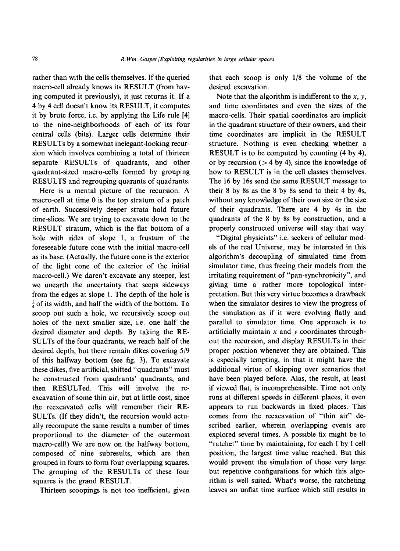rather than with the cells themselves. If the queried macro-cell already knows its RESULT (from having computed it previously), it just returns it. If a 4 by 4 cell doesn't know its RESULT, it computes it by brute force, i.e. by applying the Life rule [4] to the nine-neighborhoods of each of its four central cells (bits). Larger cells determine their RESULTs by a somewhat inelegant-looking recursion which involves combining a total of thirteen separate RESULTs of quadrants, and other quadrant-sized macro-cells formed by grouping RESULTS and regrouping quarants of quadrants.

Here is a mental picture of the recursion. A macro-cell at time 0 is the top stratum of a patch of earth. Successively deeper strata hold future time-slices. We are trying to excavate down to the RESULT stratum, which is the fiat bottom of a hole with sides of slope 1, a frustum of the foreseeable future cone with the initial macro-cell as its base. (Actually, the future cone is the exterior of the light cone of the exterior of the initial macro-cell.) We daren't excavate any steeper, lest we unearth the uncertainty that seeps sideways from the edges at slope 1. The depth of the hole is  $\frac{1}{4}$  of its width, and half the width of the bottom. To scoop out such a hole, we recursively scoop out holes of the next smaller size, i.e. one half the desired diameter and depth. By taking the RE-SULTs of the four quadrants, we reach half of the desired depth, but there remain dikes covering 5/9 of this halfway bottom (see fig. 3). To excavate these dikes, five artificial, shifted "quadrants" must be constructed from quadrants' quadrants, and then RESULTed. This will involve the reexcavation of some thin air, but at little cost, since the reexcavated cells will remember their RE-SULTs. (If they didn't, the recursion would actually recompute the same results a number of times proportional to the diameter of the outermost macro-cell!) We are now on the halfway bottom, composed of nine subresults, which are then grouped in fours to form four overlapping squares. The grouping of the RESULTs of these four squares is the grand RESULT.

Thirteen scoopings is not too inefficient, given

that each scoop is only 1/8 the volume of the desired excavation.

Note that the algorithm is indifferent to the  $x$ ,  $y$ , and time coordinates and even the sizes of the macro-cells. Their spatial coordinates are implicit in the quadrant structure of their owners, and their time coordinates are implicit in the RESULT structure. Nothing is even checking whether a RESULT is to be computed by counting (4 by 4), or by recursion  $($  > 4 by 4), since the knowledge of how to RESULT is in the cell classes themselves. The 16 by 16s send the same RESULT message to their 8 by 8s as the 8 by 8s send to their 4 by 4s, without any knowledge of their own size or the size of their quadrants. There are 4 by 4s in the quadrants of the 8 by 8s by construction, and a properly constructed universe will stay that way.

"Digital physicists" i.e. seekers of cellular models of the real Universe, may be interested in this algorithm's decoupling of simulated time from simulator time, thus freeing their models from the irritating requirement of "pan-synchronicity", and giving time a rather more topological interpretation. But this very virtue becomes a drawback when the simulator desires to view the progress of the simulation as if it were evolving flatly and parallel to simulator time. One approach is to artificially maintain  $x$  and  $y$  coordinates throughout the recursion, and display RESULTs in their proper position whenever they are obtained. This is especially tempting, in that it might have the additional virtue of skipping over scenarios that have been played before. Alas, the result, at least if viewed fiat, is incomprehensible. Time not only runs at different speeds in different places, it even appears to run backwards in fixed places. This comes from the reexcavation of "thin air" described earlier, wherein overlapping events are explored several times. A possible fix might be to "ratchet" time by maintaining, for each I by I cell position, the largest time value reached. But this would prevent the simulation of those very large but repetitive configurations for which this algorithm is well suited. What's worse, the ratcheting leaves an unflat time surface which still results in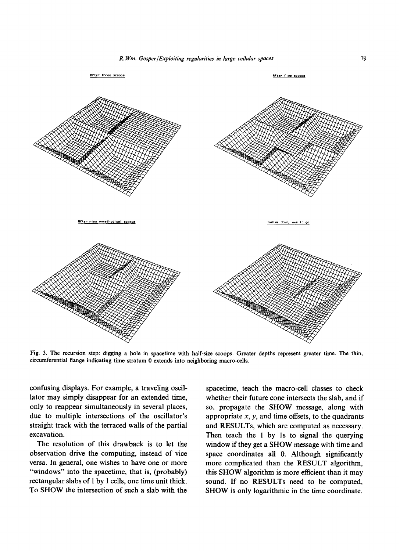

Fig. 3. The recursion step: digging a hole in spacetime with half-size scoops. Greater depths represent greater time. The thin, circumferential flange indicating time stratum 0 extends into neighboring macro-cells.

confusing displays. For example, a traveling oscillator may simply disappear for an extended time, only to reappear simultaneously in several places, due to multiple intersections of the oscillator's straight track with the terraced walls of the partial excavation.

The resolution of this drawback is to let the observation drive the computing, instead of vice versa. In general, one wishes to have one or more "windows" into the spacetime, that is, (probably) rectangular slabs of I by 1 cells, one time unit thick. To SHOW the intersection of such a slab with the spacetime, teach the macro-cell classes to check whether their future cone intersects the slab, and if so, propagate the SHOW message, along with appropriate  $x$ ,  $y$ , and time offsets, to the quadrants and RESULTs, which are computed as necessary. Then teach the 1 by 1s to signal the querying window if they get a SHOW message with time and space coordinates all 0. Although significantly more complicated than the RESULT algorithm, this SHOW algorithm is more efficient than it may sound. If no RESULTs need to be computed, SHOW is only logarithmic in the time coordinate.